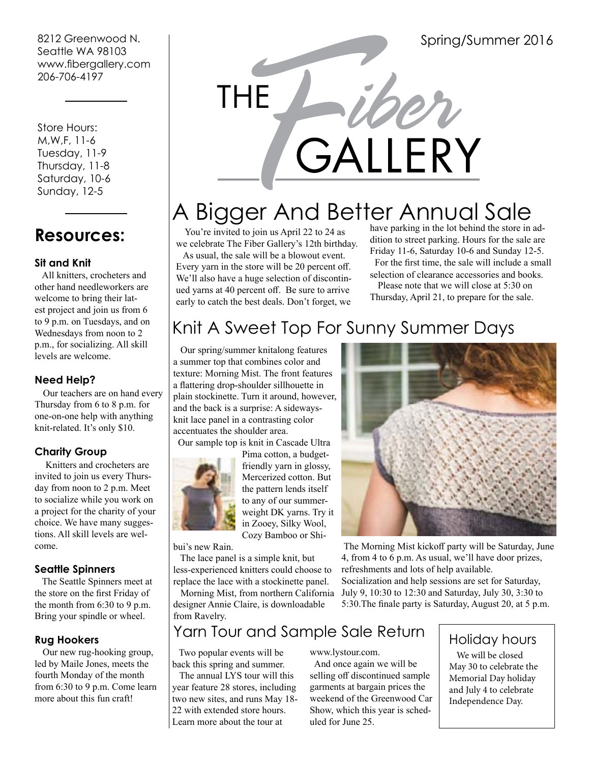8212 Greenwood N. Seattle WA 98103 www.fibergallery.com 206-706-4197

 Store Hours: M,W,F, 11-6 Tuesday, 11-9 Thursday, 11-8 Saturday, 10-6 Sunday, 12-5

# **Resources:**

#### **Sit and Knit**

 All knitters, crocheters and other hand needleworkers are welcome to bring their latest project and join us from 6 to 9 p.m. on Tuesdays, and on Wednesdays from noon to 2 p.m., for socializing. All skill levels are welcome.

#### **Need Help?**

 Our teachers are on hand every Thursday from 6 to 8 p.m. for one-on-one help with anything knit-related. It's only \$10.

### **Charity Group**

 Knitters and crocheters are invited to join us every Thursday from noon to 2 p.m. Meet to socialize while you work on a project for the charity of your choice. We have many suggestions. All skill levels are welcome.

#### **Seattle Spinners**

 The Seattle Spinners meet at the store on the first Friday of the month from 6:30 to 9 p.m. Bring your spindle or wheel.

#### **Rug Hookers**

 Our new rug-hooking group, led by Maile Jones, meets the fourth Monday of the month from 6:30 to 9 p.m. Come learn more about this fun craft!



# A Bigger And Better Annual Sale

 You're invited to join us April 22 to 24 as we celebrate The Fiber Gallery's 12th birthday. As usual, the sale will be a blowout event. Every yarn in the store will be 20 percent off. We'll also have a huge selection of discontinued yarns at 40 percent off. Be sure to arrive early to catch the best deals. Don't forget, we

have parking in the lot behind the store in addition to street parking. Hours for the sale are Friday 11-6, Saturday 10-6 and Sunday 12-5.

 For the first time, the sale will include a small selection of clearance accessories and books.

 Thursday, April 21, to prepare for the sale. Please note that we will close at 5:30 on

# Knit A Sweet Top For Sunny Summer Days

 Our spring/summer knitalong features a summer top that combines color and texture: Morning Mist. The front features a flattering drop-shoulder sillhouette in plain stockinette. Turn it around, however, and the back is a surprise: A sidewaysknit lace panel in a contrasting color accentuates the shoulder area.



Pima cotton, a budgetfriendly yarn in glossy, Mercerized cotton. But the pattern lends itself to any of our summerweight DK yarns. Try it in Zooey, Silky Wool, Cozy Bamboo or Shi-

bui's new Rain.

 The lace panel is a simple knit, but less-experienced knitters could choose to replace the lace with a stockinette panel.

 Morning Mist, from northern California designer Annie Claire, is downloadable from Ravelry.



 The Morning Mist kickoff party will be Saturday, June 4, from 4 to 6 p.m. As usual, we'll have door prizes, refreshments and lots of help available. Socialization and help sessions are set for Saturday, July 9, 10:30 to 12:30 and Saturday, July 30, 3:30 to 5:30.The finale party is Saturday, August 20, at 5 p.m.

# Yarn Tour and Sample Sale Return

 Two popular events will be back this spring and summer.

 The annual LYS tour will this year feature 28 stores, including two new sites, and runs May 18- 22 with extended store hours. Learn more about the tour at

www.lystour.com.

 And once again we will be selling off discontinued sample garments at bargain prices the weekend of the Greenwood Car Show, which this year is scheduled for June 25.

### Holiday hours

 We will be closed May 30 to celebrate the Memorial Day holiday and July 4 to celebrate Independence Day.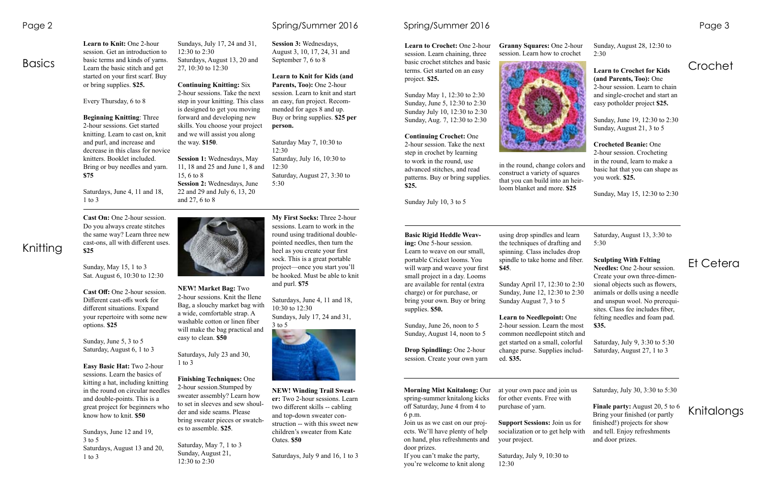## **Basics**

Knitting

# Crochet

**Learn to Knit:** One 2-hour session. Get an introduction to basic terms and kinds of yarns. Learn the basic stitch and get started on your first scarf. Buy or bring supplies. **\$25.**

Every Thursday, 6 to 8

**Beginning Knitting**: Three 2-hour sessions. Get started knitting. Learn to cast on, knit and purl, and increase and decrease in this class for novice knitters. Booklet included. Bring or buy needles and yarn. **\$75**

Saturdays, June 4, 11 and 18, 1 to 3

#### Sundays, July 17, 24 and 31, 12:30 to 2:30 Saturdays, August 13, 20 and 27, 10:30 to 12:30

#### **Continuing Knitting:** Six

2-hour sessions. Take the next step in your knitting. This class is designed to get you moving forward and developing new skills. You choose your project and we will assist you along the way. **\$150**.

**Session 1:** Wednesdays, May 11, 18 and 25 and June 1, 8 and 15, 6 to 8 **Session 2:** Wednesdays, June 22 and 29 and July 6, 13, 20 and 27, 6 to 8



**Session 3:** Wednesdays, August 3, 10, 17, 24, 31 and September 7, 6 to 8

**Learn to Knit for Kids (and Parents, Too):** One 2-hour session. Learn to knit and start an easy, fun project. Recommended for ages 8 and up. Buy or bring supplies. **\$25 per** 

**person.**

Saturday May 7, 10:30 to 12:30 Saturday, July 16, 10:30 to 12:30 Saturday, August 27, 3:30 to 5:30

**Learn to Crochet:** One 2-hour session. Learn chaining, three basic crochet stitches and basic terms. Get started on an easy project. **\$25.**

Sunday May 1, 12:30 to 2:30 Sunday, June 5, 12:30 to 2:30 Sunday July 10, 12:30 to 2:30 Sunday, Aug. 7, 12:30 to 2:30

**Continuing Crochet:** One

2-hour session. Take the next step in crochet by learning to work in the round, use advanced stitches, and read patterns. Buy or bring supplies. **\$25.**

> Et Cetera Saturday, August 13, 3:30 to 5:30 **Sculpting With Felting Needles:** One 2-hour session. Create your own three-dimensional objects such as flowers, animals or dolls using a needle and unspun wool. No prerequisites. Class fee includes fiber, felting needles and foam pad. **\$35.** Saturday, July 9, 3:30 to 5:30 Saturday, August 27, 1 to 3

Sunday July 10, 3 to 5

#### **Granny Squares:** One 2-hour session. Learn how to crochet



in the round, change colors and construct a variety of squares that you can build into an heirloom blanket and more. **\$25**

Sunday, August 28, 12:30 to 2:30

Knitalongs Saturday, July 30, 3:30 to 5:30 **Finale party:** August 20, 5 to 6 Bring your finished (or partly finished!) projects for show and tell. Enjoy refreshments and door prizes.

**Learn to Crochet for Kids (and Parents, Too):** One 2-hour session. Learn to chain and single-crochet and start an easy potholder project **\$25.**

Sunday, June 19, 12:30 to 2:30 Sunday, August 21, 3 to 5

**Crocheted Beanie:** One 2-hour session. Crocheting in the round, learn to make a basic hat that you can shape as you work. **\$25.**

Sunday, May 15, 12:30 to 2:30

**Basic Rigid Heddle Weaving:** One 5-hour session. Learn to weave on our small, portable Cricket looms. You will warp and weave your first small project in a day. Looms are available for rental (extra charge) or for purchase, or bring your own. Buy or bring supplies. **\$50.**

Sunday, June 26, noon to 5 Sunday, August 14, noon to 5

**Drop Spindling:** One 2-hour session. Create your own yarn using drop spindles and learn the techniques of drafting and spinning. Class includes drop spindle to take home and fiber. **\$45**. Sunday April 17, 12:30 to 2:30 Sunday, June 12, 12:30 to 2:30 Sunday August 7, 3 to 5 **Learn to Needlepoint:** One 2-hour session. Learn the most common needlepoint stitch and get started on a small, colorful change purse. Supplies included. **\$35.**

**Morning Mist Knitalong:** Our spring-summer knitalong kicks off Saturday, June 4 from 4 to 6 p.m.

Join us as we cast on our projects. We'll have plenty of help on hand, plus refreshments and door prizes.

If you can't make the party, you're welcome to knit along at your own pace and join us for other events. Free with purchase of yarn. **Support Sessions:** Join us for socialization or to get help with your project.

Saturday, July 9, 10:30 to 12:30

**Cast On:** One 2-hour session. Do you always create stitches the same way? Learn three new cast-ons, all with different uses. **\$25**

Sunday, May 15, 1 to 3 Sat. August 6, 10:30 to 12:30

**Cast Off:** One 2-hour session. Different cast-offs work for different situations. Expand your repertoire with some new options. **\$25**

Sunday, June 5, 3 to 5 Saturday, August 6, 1 to 3

**Easy Basic Hat:** Two 2-hour sessions. Learn the basics of kitting a hat, including knitting in the round on circular needles and double-points. This is a great project for beginners who know how to knit. **\$50**

Sundays, June 12 and 19, 3 to 5 Saturdays, August 13 and 20, 1 to 3

**NEW! Market Bag:** Two 2-hour sessions. Knit the Ilene Bag, a slouchy market bag with a wide, comfortable strap. A washable cotton or linen fiber will make the bag practical and easy to clean. **\$50**

Saturdays, July 23 and 30, 1 to 3

**Finishing Techniques:** One 2-hour session.Stumped by sweater assembly? Learn how to set in sleeves and sew shoulder and side seams. Please bring sweater pieces or swatches to assemble. **\$25**.

Saturday, May 7, 1 to 3 Sunday, August 21, 12:30 to 2:30

Page 2 Case 2 Case 2 Spring/Summer 2016 Spring/Summer 2016 Spring/Summer 2016 Page 3



Saturdays, June 4, 11 and 18, 10:30 to 12:30 Sundays, July 17, 24 and 31,



**NEW! Winding Trail Sweater:** Two 2-hour sessions. Learn two different skills -- cabling and top-down sweater construction -- with this sweet new children's sweater from Kate Oates. **\$50**

Saturdays, July 9 and 16, 1 to 3